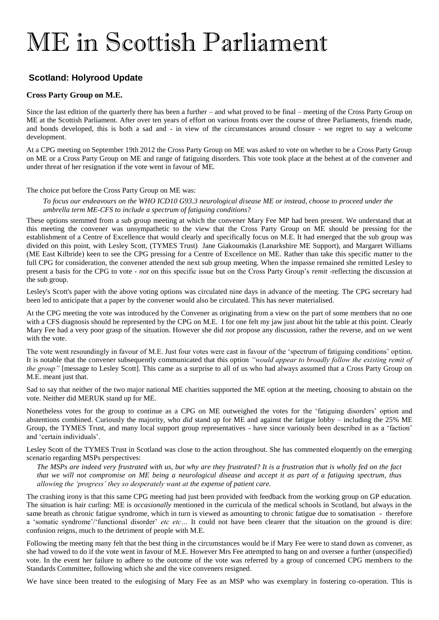# ME in Scottish Parliament

# **Scotland: Holyrood Update**

## **Cross Party Group on M.E.**

Since the last edition of the quarterly there has been a further – and what proved to be final – meeting of the Cross Party Group on ME at the Scottish Parliament. After over ten years of effort on various fronts over the course of three Parliaments, friends made, and bonds developed, this is both a sad and - in view of the circumstances around closure - we regret to say a welcome development.

At a CPG meeting on September 19th 2012 the Cross Party Group on ME was asked to vote on whether to be a Cross Party Group on ME or a Cross Party Group on ME and range of fatiguing disorders. This vote took place at the behest at of the convener and under threat of her resignation if the vote went in favour of ME.

### The choice put before the Cross Party Group on ME was:

*To focus our endeavours on the WHO ICD10 G93.3 neurological disease ME or instead, choose to proceed under the umbrella term ME-CFS to include a spectrum of fatiguing conditions?*

These options stemmed from a sub group meeting at which the convener Mary Fee MP had been present. We understand that at this meeting the convener was unsympathetic to the view that the Cross Party Group on ME should be pressing for the establishment of a Centre of Excellence that would clearly and specifically focus on M.E. It had emerged that the sub group was divided on this point, with Lesley Scott, (TYMES Trust) Jane Giakoumakis (Lanarkshire ME Support), and Margaret Williams (ME East Kilbride) keen to see the CPG pressing for a Centre of Excellence on ME. Rather than take this specific matter to the full CPG for consideration, the convener attended the next sub group meeting. When the impasse remained she remitted Lesley to present a basis for the CPG to vote - *not* on this specific issue but on the Cross Party Group's *remit* -reflecting the discussion at the sub group.

Lesley's Scott's paper with the above voting options was circulated nine days in advance of the meeting. The CPG secretary had been led to anticipate that a paper by the convener would also be circulated. This has never materialised.

At the CPG meeting the vote was introduced by the Convener as originating from a view on the part of some members that no one with a CFS diagnosis should be represented by the CPG on M.E. I for one felt my jaw just about hit the table at this point. Clearly Mary Fee had a very poor grasp of the situation. However she did *not* propose any discussion, rather the reverse, and on we went with the vote.

The vote went resoundingly in favour of M.E. Just four votes were cast in favour of the 'spectrum of fatiguing conditions' option. It is notable that the convener subsequently communicated that this option *"would appear to broadly follow the existing remit of the group*" [message to Lesley Scott]. This came as a surprise to all of us who had always assumed that a Cross Party Group on M.E. meant just that.

Sad to say that neither of the two major national ME charities supported the ME option at the meeting, choosing to abstain on the vote. Neither did MERUK stand up for ME.

Nonetheless votes for the group to continue as a CPG on ME outweighed the votes for the 'fatiguing disorders' option and abstentions combined. Curiously the majority, who *did* stand up for ME and against the fatigue lobby – including the 25% ME Group, the TYMES Trust, and many local support group representatives - have since variously been described in as a 'faction' and 'certain individuals'.

Lesley Scott of the TYMES Trust in Scotland was close to the action throughout. She has commented eloquently on the emerging scenario regarding MSPs perspectives:

*The MSPs are indeed very frustrated with us, but why are they frustrated? It is a frustration that is wholly fed on the fact that we will not compromise on ME being a neurological disease and accept it as part of a fatiguing spectrum, thus allowing the 'progress' they so desperately want at the expense of patient care.*

The crashing irony is that this same CPG meeting had just been provided with feedback from the working group on GP education. The situation is hair curling: ME is *occasionally* mentioned in the curricula of the medical schools in Scotland, but always in the same breath as chronic fatigue syndrome, which in turn is viewed as amounting to chronic fatigue due to somatisation - therefore a 'somatic syndrome'/'functional disorder' *etc etc…* It could not have been clearer that the situation on the ground is dire: confusion reigns, much to the detriment of people with M.E.

Following the meeting many felt that the best thing in the circumstances would be if Mary Fee were to stand down as convener, as she had vowed to do if the vote went in favour of M.E. However Mrs Fee attempted to hang on and oversee a further (unspecified) vote. In the event her failure to adhere to the outcome of the vote was referred by a group of concerned CPG members to the Standards Committee, following which she and the vice conveners resigned.

We have since been treated to the eulogising of Mary Fee as an MSP who was exemplary in fostering co-operation. This is